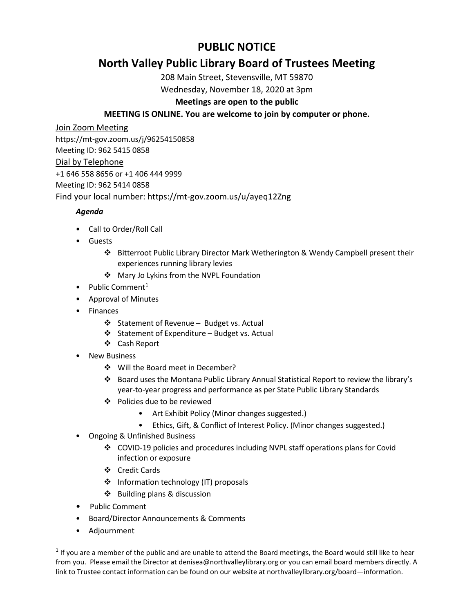# **PUBLIC NOTICE**

# **North Valley Public Library Board of Trustees Meeting**

208 Main Street, Stevensville, MT 59870

Wednesday, November 18, 2020 at 3pm

# **Meetings are open to the public**

# **MEETING IS ONLINE. You are welcome to join by computer or phone.**

Join Zoom Meeting https://mt-gov.zoom.us/j/96254150858 Meeting ID: 962 5415 0858 Dial by Telephone +1 646 558 8656 or +1 406 444 9999 Meeting ID: 962 5414 0858 Find your local number: https://mt-gov.zoom.us/u/ayeq12Zng

# *Agenda*

- Call to Order/Roll Call
- Guests
	- Bitterroot Public Library Director Mark Wetherington & Wendy Campbell present their experiences running library levies
	- Mary Jo Lykins from the NVPL Foundation
- Public Comment<sup>[1](#page-0-0)</sup>
- Approval of Minutes
- Finances
	- ❖ Statement of Revenue Budget vs. Actual
	- $\div$  Statement of Expenditure Budget vs. Actual
	- Cash Report
- New Business
	- ❖ Will the Board meet in December?
	- Board uses the Montana Public Library Annual Statistical Report to review the library's year-to-year progress and performance as per State Public Library Standards
	- Policies due to be reviewed
		- Art Exhibit Policy (Minor changes suggested.)
		- Ethics, Gift, & Conflict of Interest Policy. (Minor changes suggested.)
- Ongoing & Unfinished Business
	- COVID-19 policies and procedures including NVPL staff operations plans for Covid infection or exposure
	- Credit Cards
	- ❖ Information technology (IT) proposals
	- ❖ Building plans & discussion
- Public Comment
- Board/Director Announcements & Comments
- Adjournment

<span id="page-0-0"></span> $1$  If you are a member of the public and are unable to attend the Board meetings, the Board would still like to hear from you. Please email the Director at denisea@northvalleylibrary.org or you can email board members directly. A link to Trustee contact information can be found on our website at northvalleylibrary.org/board—information.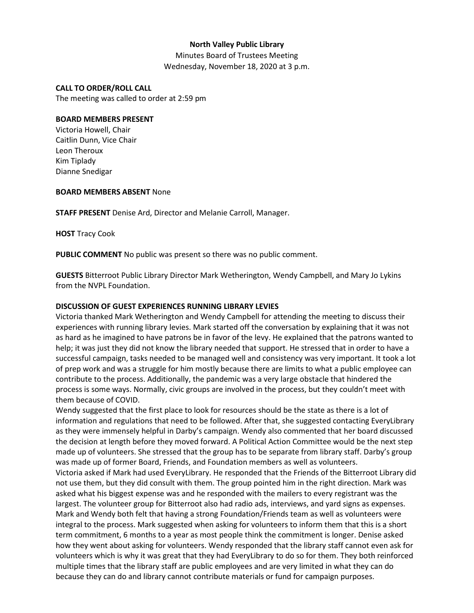# **North Valley Public Library**

Minutes Board of Trustees Meeting Wednesday, November 18, 2020 at 3 p.m.

#### **CALL TO ORDER/ROLL CALL**

The meeting was called to order at 2:59 pm

#### **BOARD MEMBERS PRESENT**

Victoria Howell, Chair Caitlin Dunn, Vice Chair Leon Theroux Kim Tiplady Dianne Snedigar

#### **BOARD MEMBERS ABSENT** None

**STAFF PRESENT** Denise Ard, Director and Melanie Carroll, Manager.

**HOST** Tracy Cook

**PUBLIC COMMENT** No public was present so there was no public comment.

**GUESTS** Bitterroot Public Library Director Mark Wetherington, Wendy Campbell, and Mary Jo Lykins from the NVPL Foundation.

### **DISCUSSION OF GUEST EXPERIENCES RUNNING LIBRARY LEVIES**

Victoria thanked Mark Wetherington and Wendy Campbell for attending the meeting to discuss their experiences with running library levies. Mark started off the conversation by explaining that it was not as hard as he imagined to have patrons be in favor of the levy. He explained that the patrons wanted to help; it was just they did not know the library needed that support. He stressed that in order to have a successful campaign, tasks needed to be managed well and consistency was very important. It took a lot of prep work and was a struggle for him mostly because there are limits to what a public employee can contribute to the process. Additionally, the pandemic was a very large obstacle that hindered the process is some ways. Normally, civic groups are involved in the process, but they couldn't meet with them because of COVID.

Wendy suggested that the first place to look for resources should be the state as there is a lot of information and regulations that need to be followed. After that, she suggested contacting EveryLibrary as they were immensely helpful in Darby's campaign. Wendy also commented that her board discussed the decision at length before they moved forward. A Political Action Committee would be the next step made up of volunteers. She stressed that the group has to be separate from library staff. Darby's group was made up of former Board, Friends, and Foundation members as well as volunteers.

Victoria asked if Mark had used EveryLibrary. He responded that the Friends of the Bitterroot Library did not use them, but they did consult with them. The group pointed him in the right direction. Mark was asked what his biggest expense was and he responded with the mailers to every registrant was the largest. The volunteer group for Bitterroot also had radio ads, interviews, and yard signs as expenses. Mark and Wendy both felt that having a strong Foundation/Friends team as well as volunteers were integral to the process. Mark suggested when asking for volunteers to inform them that this is a short term commitment, 6 months to a year as most people think the commitment is longer. Denise asked how they went about asking for volunteers. Wendy responded that the library staff cannot even ask for volunteers which is why it was great that they had EveryLibrary to do so for them. They both reinforced multiple times that the library staff are public employees and are very limited in what they can do because they can do and library cannot contribute materials or fund for campaign purposes.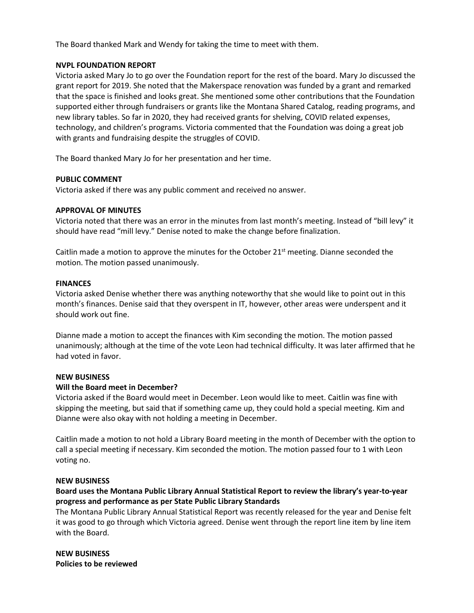The Board thanked Mark and Wendy for taking the time to meet with them.

#### **NVPL FOUNDATION REPORT**

Victoria asked Mary Jo to go over the Foundation report for the rest of the board. Mary Jo discussed the grant report for 2019. She noted that the Makerspace renovation was funded by a grant and remarked that the space is finished and looks great. She mentioned some other contributions that the Foundation supported either through fundraisers or grants like the Montana Shared Catalog, reading programs, and new library tables. So far in 2020, they had received grants for shelving, COVID related expenses, technology, and children's programs. Victoria commented that the Foundation was doing a great job with grants and fundraising despite the struggles of COVID.

The Board thanked Mary Jo for her presentation and her time.

# **PUBLIC COMMENT**

Victoria asked if there was any public comment and received no answer.

#### **APPROVAL OF MINUTES**

Victoria noted that there was an error in the minutes from last month's meeting. Instead of "bill levy" it should have read "mill levy." Denise noted to make the change before finalization.

Caitlin made a motion to approve the minutes for the October  $21<sup>st</sup>$  meeting. Dianne seconded the motion. The motion passed unanimously.

#### **FINANCES**

Victoria asked Denise whether there was anything noteworthy that she would like to point out in this month's finances. Denise said that they overspent in IT, however, other areas were underspent and it should work out fine.

Dianne made a motion to accept the finances with Kim seconding the motion. The motion passed unanimously; although at the time of the vote Leon had technical difficulty. It was later affirmed that he had voted in favor.

#### **NEW BUSINESS**

# **Will the Board meet in December?**

Victoria asked if the Board would meet in December. Leon would like to meet. Caitlin was fine with skipping the meeting, but said that if something came up, they could hold a special meeting. Kim and Dianne were also okay with not holding a meeting in December.

Caitlin made a motion to not hold a Library Board meeting in the month of December with the option to call a special meeting if necessary. Kim seconded the motion. The motion passed four to 1 with Leon voting no.

# **NEW BUSINESS**

# **Board uses the Montana Public Library Annual Statistical Report to review the library's year-to-year progress and performance as per State Public Library Standards**

The Montana Public Library Annual Statistical Report was recently released for the year and Denise felt it was good to go through which Victoria agreed. Denise went through the report line item by line item with the Board.

**NEW BUSINESS Policies to be reviewed**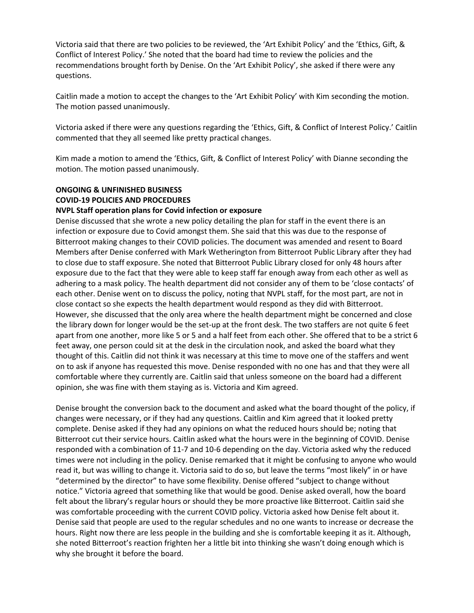Victoria said that there are two policies to be reviewed, the 'Art Exhibit Policy' and the 'Ethics, Gift, & Conflict of Interest Policy.' She noted that the board had time to review the policies and the recommendations brought forth by Denise. On the 'Art Exhibit Policy', she asked if there were any questions.

Caitlin made a motion to accept the changes to the 'Art Exhibit Policy' with Kim seconding the motion. The motion passed unanimously.

Victoria asked if there were any questions regarding the 'Ethics, Gift, & Conflict of Interest Policy.' Caitlin commented that they all seemed like pretty practical changes.

Kim made a motion to amend the 'Ethics, Gift, & Conflict of Interest Policy' with Dianne seconding the motion. The motion passed unanimously.

# **ONGOING & UNFINISHED BUSINESS COVID-19 POLICIES AND PROCEDURES NVPL Staff operation plans for Covid infection or exposure**

Denise discussed that she wrote a new policy detailing the plan for staff in the event there is an infection or exposure due to Covid amongst them. She said that this was due to the response of Bitterroot making changes to their COVID policies. The document was amended and resent to Board Members after Denise conferred with Mark Wetherington from Bitterroot Public Library after they had to close due to staff exposure. She noted that Bitterroot Public Library closed for only 48 hours after exposure due to the fact that they were able to keep staff far enough away from each other as well as adhering to a mask policy. The health department did not consider any of them to be 'close contacts' of each other. Denise went on to discuss the policy, noting that NVPL staff, for the most part, are not in close contact so she expects the health department would respond as they did with Bitterroot. However, she discussed that the only area where the health department might be concerned and close the library down for longer would be the set-up at the front desk. The two staffers are not quite 6 feet apart from one another, more like 5 or 5 and a half feet from each other. She offered that to be a strict 6 feet away, one person could sit at the desk in the circulation nook, and asked the board what they thought of this. Caitlin did not think it was necessary at this time to move one of the staffers and went on to ask if anyone has requested this move. Denise responded with no one has and that they were all comfortable where they currently are. Caitlin said that unless someone on the board had a different opinion, she was fine with them staying as is. Victoria and Kim agreed.

Denise brought the conversion back to the document and asked what the board thought of the policy, if changes were necessary, or if they had any questions. Caitlin and Kim agreed that it looked pretty complete. Denise asked if they had any opinions on what the reduced hours should be; noting that Bitterroot cut their service hours. Caitlin asked what the hours were in the beginning of COVID. Denise responded with a combination of 11-7 and 10-6 depending on the day. Victoria asked why the reduced times were not including in the policy. Denise remarked that it might be confusing to anyone who would read it, but was willing to change it. Victoria said to do so, but leave the terms "most likely" in or have "determined by the director" to have some flexibility. Denise offered "subject to change without notice." Victoria agreed that something like that would be good. Denise asked overall, how the board felt about the library's regular hours or should they be more proactive like Bitterroot. Caitlin said she was comfortable proceeding with the current COVID policy. Victoria asked how Denise felt about it. Denise said that people are used to the regular schedules and no one wants to increase or decrease the hours. Right now there are less people in the building and she is comfortable keeping it as it. Although, she noted Bitterroot's reaction frighten her a little bit into thinking she wasn't doing enough which is why she brought it before the board.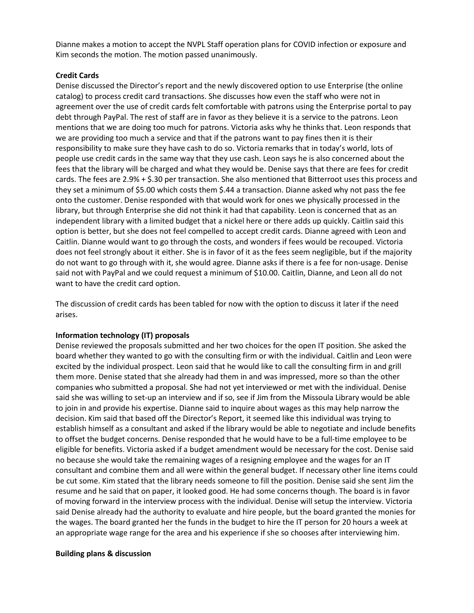Dianne makes a motion to accept the NVPL Staff operation plans for COVID infection or exposure and Kim seconds the motion. The motion passed unanimously.

# **Credit Cards**

Denise discussed the Director's report and the newly discovered option to use Enterprise (the online catalog) to process credit card transactions. She discusses how even the staff who were not in agreement over the use of credit cards felt comfortable with patrons using the Enterprise portal to pay debt through PayPal. The rest of staff are in favor as they believe it is a service to the patrons. Leon mentions that we are doing too much for patrons. Victoria asks why he thinks that. Leon responds that we are providing too much a service and that if the patrons want to pay fines then it is their responsibility to make sure they have cash to do so. Victoria remarks that in today's world, lots of people use credit cards in the same way that they use cash. Leon says he is also concerned about the fees that the library will be charged and what they would be. Denise says that there are fees for credit cards. The fees are 2.9% + \$.30 per transaction. She also mentioned that Bitterroot uses this process and they set a minimum of \$5.00 which costs them \$.44 a transaction. Dianne asked why not pass the fee onto the customer. Denise responded with that would work for ones we physically processed in the library, but through Enterprise she did not think it had that capability. Leon is concerned that as an independent library with a limited budget that a nickel here or there adds up quickly. Caitlin said this option is better, but she does not feel compelled to accept credit cards. Dianne agreed with Leon and Caitlin. Dianne would want to go through the costs, and wonders if fees would be recouped. Victoria does not feel strongly about it either. She is in favor of it as the fees seem negligible, but if the majority do not want to go through with it, she would agree. Dianne asks if there is a fee for non-usage. Denise said not with PayPal and we could request a minimum of \$10.00. Caitlin, Dianne, and Leon all do not want to have the credit card option.

The discussion of credit cards has been tabled for now with the option to discuss it later if the need arises.

# **Information technology (IT) proposals**

Denise reviewed the proposals submitted and her two choices for the open IT position. She asked the board whether they wanted to go with the consulting firm or with the individual. Caitlin and Leon were excited by the individual prospect. Leon said that he would like to call the consulting firm in and grill them more. Denise stated that she already had them in and was impressed, more so than the other companies who submitted a proposal. She had not yet interviewed or met with the individual. Denise said she was willing to set-up an interview and if so, see if Jim from the Missoula Library would be able to join in and provide his expertise. Dianne said to inquire about wages as this may help narrow the decision. Kim said that based off the Director's Report, it seemed like this individual was trying to establish himself as a consultant and asked if the library would be able to negotiate and include benefits to offset the budget concerns. Denise responded that he would have to be a full-time employee to be eligible for benefits. Victoria asked if a budget amendment would be necessary for the cost. Denise said no because she would take the remaining wages of a resigning employee and the wages for an IT consultant and combine them and all were within the general budget. If necessary other line items could be cut some. Kim stated that the library needs someone to fill the position. Denise said she sent Jim the resume and he said that on paper, it looked good. He had some concerns though. The board is in favor of moving forward in the interview process with the individual. Denise will setup the interview. Victoria said Denise already had the authority to evaluate and hire people, but the board granted the monies for the wages. The board granted her the funds in the budget to hire the IT person for 20 hours a week at an appropriate wage range for the area and his experience if she so chooses after interviewing him.

# **Building plans & discussion**